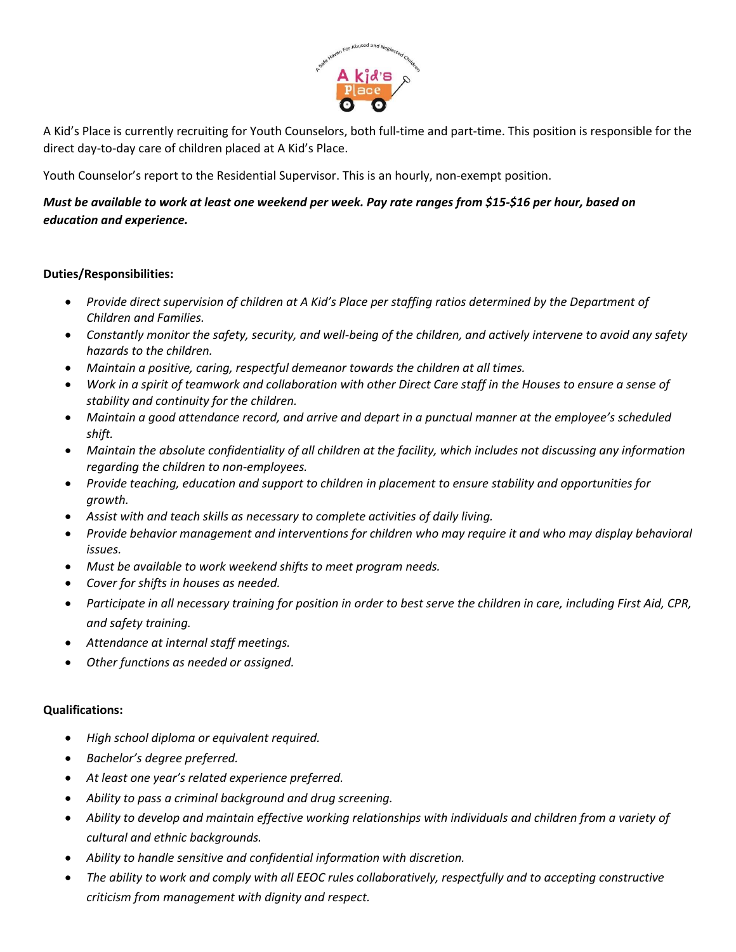

A Kid's Place is currently recruiting for Youth Counselors, both full-time and part-time. This position is responsible for the direct day-to-day care of children placed at A Kid's Place.

Youth Counselor's report to the Residential Supervisor. This is an hourly, non-exempt position.

## *Must be available to work at least one weekend per week. Pay rate ranges from \$15-\$16 per hour, based on education and experience.*

## **Duties/Responsibilities:**

- *Provide direct supervision of children at A Kid's Place per staffing ratios determined by the Department of Children and Families.*
- *Constantly monitor the safety, security, and well-being of the children, and actively intervene to avoid any safety hazards to the children.*
- *Maintain a positive, caring, respectful demeanor towards the children at all times.*
- *Work in a spirit of teamwork and collaboration with other Direct Care staff in the Houses to ensure a sense of stability and continuity for the children.*
- *Maintain a good attendance record, and arrive and depart in a punctual manner at the employee's scheduled shift.*
- *Maintain the absolute confidentiality of all children at the facility, which includes not discussing any information regarding the children to non-employees.*
- *Provide teaching, education and support to children in placement to ensure stability and opportunities for growth.*
- *Assist with and teach skills as necessary to complete activities of daily living.*
- *Provide behavior management and interventions for children who may require it and who may display behavioral issues.*
- *Must be available to work weekend shifts to meet program needs.*
- *Cover for shifts in houses as needed.*
- *Participate in all necessary training for position in order to best serve the children in care, including First Aid, CPR, and safety training.*
- *Attendance at internal staff meetings.*
- *Other functions as needed or assigned.*

## **Qualifications:**

- *High school diploma or equivalent required.*
- *Bachelor's degree preferred.*
- *At least one year's related experience preferred.*
- *Ability to pass a criminal background and drug screening.*
- *Ability to develop and maintain effective working relationships with individuals and children from a variety of cultural and ethnic backgrounds.*
- *Ability to handle sensitive and confidential information with discretion.*
- *The ability to work and comply with all EEOC rules collaboratively, respectfully and to accepting constructive criticism from management with dignity and respect.*